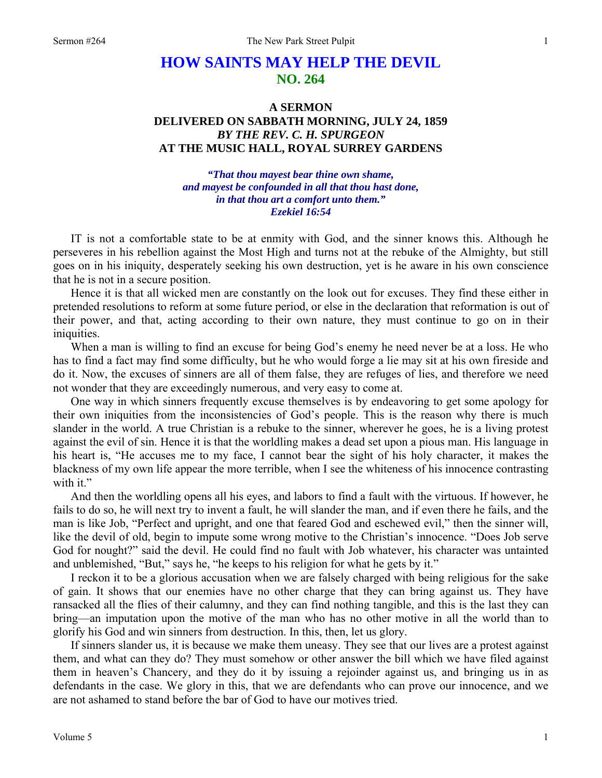## **HOW SAINTS MAY HELP THE DEVIL NO. 264**

## **A SERMON DELIVERED ON SABBATH MORNING, JULY 24, 1859**  *BY THE REV. C. H. SPURGEON*  **AT THE MUSIC HALL, ROYAL SURREY GARDENS**

*"That thou mayest bear thine own shame, and mayest be confounded in all that thou hast done, in that thou art a comfort unto them." Ezekiel 16:54* 

IT is not a comfortable state to be at enmity with God, and the sinner knows this. Although he perseveres in his rebellion against the Most High and turns not at the rebuke of the Almighty, but still goes on in his iniquity, desperately seeking his own destruction, yet is he aware in his own conscience that he is not in a secure position.

Hence it is that all wicked men are constantly on the look out for excuses. They find these either in pretended resolutions to reform at some future period, or else in the declaration that reformation is out of their power, and that, acting according to their own nature, they must continue to go on in their iniquities.

When a man is willing to find an excuse for being God's enemy he need never be at a loss. He who has to find a fact may find some difficulty, but he who would forge a lie may sit at his own fireside and do it. Now, the excuses of sinners are all of them false, they are refuges of lies, and therefore we need not wonder that they are exceedingly numerous, and very easy to come at.

One way in which sinners frequently excuse themselves is by endeavoring to get some apology for their own iniquities from the inconsistencies of God's people. This is the reason why there is much slander in the world. A true Christian is a rebuke to the sinner, wherever he goes, he is a living protest against the evil of sin. Hence it is that the worldling makes a dead set upon a pious man. His language in his heart is, "He accuses me to my face, I cannot bear the sight of his holy character, it makes the blackness of my own life appear the more terrible, when I see the whiteness of his innocence contrasting with it."

And then the worldling opens all his eyes, and labors to find a fault with the virtuous. If however, he fails to do so, he will next try to invent a fault, he will slander the man, and if even there he fails, and the man is like Job, "Perfect and upright, and one that feared God and eschewed evil," then the sinner will, like the devil of old, begin to impute some wrong motive to the Christian's innocence. "Does Job serve God for nought?" said the devil. He could find no fault with Job whatever, his character was untainted and unblemished, "But," says he, "he keeps to his religion for what he gets by it."

I reckon it to be a glorious accusation when we are falsely charged with being religious for the sake of gain. It shows that our enemies have no other charge that they can bring against us. They have ransacked all the flies of their calumny, and they can find nothing tangible, and this is the last they can bring—an imputation upon the motive of the man who has no other motive in all the world than to glorify his God and win sinners from destruction. In this, then, let us glory.

If sinners slander us, it is because we make them uneasy. They see that our lives are a protest against them, and what can they do? They must somehow or other answer the bill which we have filed against them in heaven's Chancery, and they do it by issuing a rejoinder against us, and bringing us in as defendants in the case. We glory in this, that we are defendants who can prove our innocence, and we are not ashamed to stand before the bar of God to have our motives tried.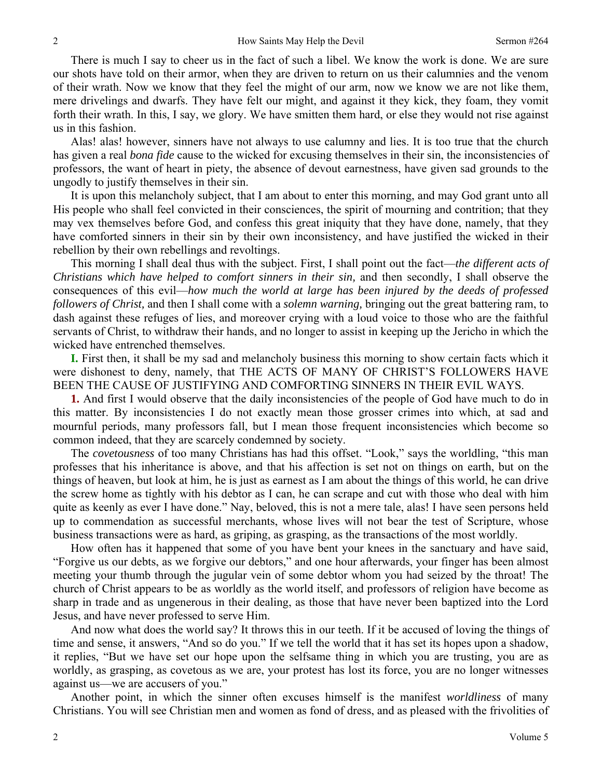There is much I say to cheer us in the fact of such a libel. We know the work is done. We are sure our shots have told on their armor, when they are driven to return on us their calumnies and the venom of their wrath. Now we know that they feel the might of our arm, now we know we are not like them, mere drivelings and dwarfs. They have felt our might, and against it they kick, they foam, they vomit forth their wrath. In this, I say, we glory. We have smitten them hard, or else they would not rise against us in this fashion.

Alas! alas! however, sinners have not always to use calumny and lies. It is too true that the church has given a real *bona fide* cause to the wicked for excusing themselves in their sin, the inconsistencies of professors, the want of heart in piety, the absence of devout earnestness, have given sad grounds to the ungodly to justify themselves in their sin.

It is upon this melancholy subject, that I am about to enter this morning, and may God grant unto all His people who shall feel convicted in their consciences, the spirit of mourning and contrition; that they may vex themselves before God, and confess this great iniquity that they have done, namely, that they have comforted sinners in their sin by their own inconsistency, and have justified the wicked in their rebellion by their own rebellings and revoltings.

This morning I shall deal thus with the subject. First, I shall point out the fact—*the different acts of Christians which have helped to comfort sinners in their sin,* and then secondly, I shall observe the consequences of this evil—*how much the world at large has been injured by the deeds of professed followers of Christ,* and then I shall come with a *solemn warning,* bringing out the great battering ram, to dash against these refuges of lies, and moreover crying with a loud voice to those who are the faithful servants of Christ, to withdraw their hands, and no longer to assist in keeping up the Jericho in which the wicked have entrenched themselves.

**I.** First then, it shall be my sad and melancholy business this morning to show certain facts which it were dishonest to deny, namely, that THE ACTS OF MANY OF CHRIST'S FOLLOWERS HAVE BEEN THE CAUSE OF JUSTIFYING AND COMFORTING SINNERS IN THEIR EVIL WAYS.

**1.** And first I would observe that the daily inconsistencies of the people of God have much to do in this matter. By inconsistencies I do not exactly mean those grosser crimes into which, at sad and mournful periods, many professors fall, but I mean those frequent inconsistencies which become so common indeed, that they are scarcely condemned by society.

The *covetousness* of too many Christians has had this offset. "Look," says the worldling, "this man professes that his inheritance is above, and that his affection is set not on things on earth, but on the things of heaven, but look at him, he is just as earnest as I am about the things of this world, he can drive the screw home as tightly with his debtor as I can, he can scrape and cut with those who deal with him quite as keenly as ever I have done." Nay, beloved, this is not a mere tale, alas! I have seen persons held up to commendation as successful merchants, whose lives will not bear the test of Scripture, whose business transactions were as hard, as griping, as grasping, as the transactions of the most worldly.

How often has it happened that some of you have bent your knees in the sanctuary and have said, "Forgive us our debts, as we forgive our debtors," and one hour afterwards, your finger has been almost meeting your thumb through the jugular vein of some debtor whom you had seized by the throat! The church of Christ appears to be as worldly as the world itself, and professors of religion have become as sharp in trade and as ungenerous in their dealing, as those that have never been baptized into the Lord Jesus, and have never professed to serve Him.

And now what does the world say? It throws this in our teeth. If it be accused of loving the things of time and sense, it answers, "And so do you." If we tell the world that it has set its hopes upon a shadow, it replies, "But we have set our hope upon the selfsame thing in which you are trusting, you are as worldly, as grasping, as covetous as we are, your protest has lost its force, you are no longer witnesses against us—we are accusers of you."

Another point, in which the sinner often excuses himself is the manifest *worldliness* of many Christians. You will see Christian men and women as fond of dress, and as pleased with the frivolities of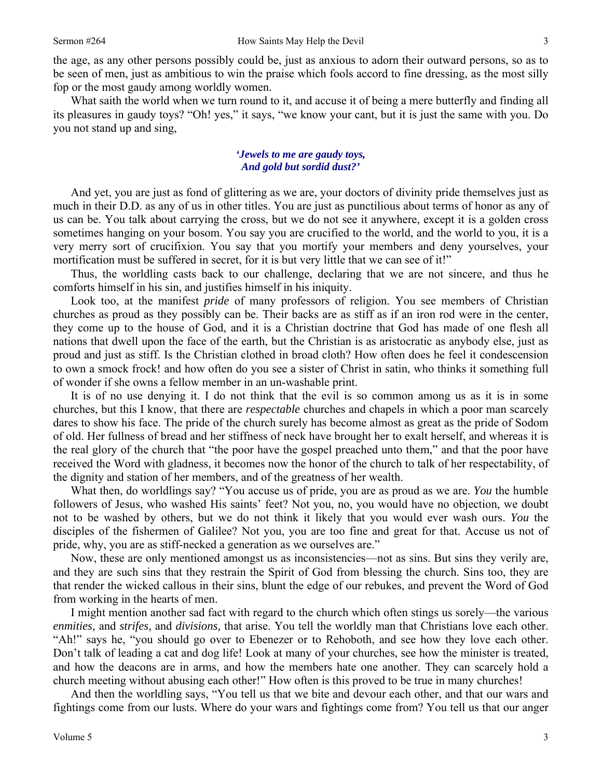the age, as any other persons possibly could be, just as anxious to adorn their outward persons, so as to be seen of men, just as ambitious to win the praise which fools accord to fine dressing, as the most silly fop or the most gaudy among worldly women.

What saith the world when we turn round to it, and accuse it of being a mere butterfly and finding all its pleasures in gaudy toys? "Oh! yes," it says, "we know your cant, but it is just the same with you. Do you not stand up and sing,

## *'Jewels to me are gaudy toys, And gold but sordid dust?'*

And yet, you are just as fond of glittering as we are, your doctors of divinity pride themselves just as much in their D.D. as any of us in other titles. You are just as punctilious about terms of honor as any of us can be. You talk about carrying the cross, but we do not see it anywhere, except it is a golden cross sometimes hanging on your bosom. You say you are crucified to the world, and the world to you, it is a very merry sort of crucifixion. You say that you mortify your members and deny yourselves, your mortification must be suffered in secret, for it is but very little that we can see of it!"

Thus, the worldling casts back to our challenge, declaring that we are not sincere, and thus he comforts himself in his sin, and justifies himself in his iniquity.

Look too, at the manifest *pride* of many professors of religion. You see members of Christian churches as proud as they possibly can be. Their backs are as stiff as if an iron rod were in the center, they come up to the house of God, and it is a Christian doctrine that God has made of one flesh all nations that dwell upon the face of the earth, but the Christian is as aristocratic as anybody else, just as proud and just as stiff. Is the Christian clothed in broad cloth? How often does he feel it condescension to own a smock frock! and how often do you see a sister of Christ in satin, who thinks it something full of wonder if she owns a fellow member in an un-washable print.

It is of no use denying it. I do not think that the evil is so common among us as it is in some churches, but this I know, that there are *respectable* churches and chapels in which a poor man scarcely dares to show his face. The pride of the church surely has become almost as great as the pride of Sodom of old. Her fullness of bread and her stiffness of neck have brought her to exalt herself, and whereas it is the real glory of the church that "the poor have the gospel preached unto them," and that the poor have received the Word with gladness, it becomes now the honor of the church to talk of her respectability, of the dignity and station of her members, and of the greatness of her wealth.

What then, do worldlings say? "You accuse us of pride, you are as proud as we are. *You* the humble followers of Jesus, who washed His saints' feet? Not you, no, you would have no objection, we doubt not to be washed by others, but we do not think it likely that you would ever wash ours. *You* the disciples of the fishermen of Galilee? Not you, you are too fine and great for that. Accuse us not of pride, why, you are as stiff-necked a generation as we ourselves are."

Now, these are only mentioned amongst us as inconsistencies—not as sins. But sins they verily are, and they are such sins that they restrain the Spirit of God from blessing the church. Sins too, they are that render the wicked callous in their sins, blunt the edge of our rebukes, and prevent the Word of God from working in the hearts of men.

I might mention another sad fact with regard to the church which often stings us sorely—the various *enmities,* and *strifes,* and *divisions,* that arise. You tell the worldly man that Christians love each other. "Ah!" says he, "you should go over to Ebenezer or to Rehoboth, and see how they love each other. Don't talk of leading a cat and dog life! Look at many of your churches, see how the minister is treated, and how the deacons are in arms, and how the members hate one another. They can scarcely hold a church meeting without abusing each other!" How often is this proved to be true in many churches!

And then the worldling says, "You tell us that we bite and devour each other, and that our wars and fightings come from our lusts. Where do your wars and fightings come from? You tell us that our anger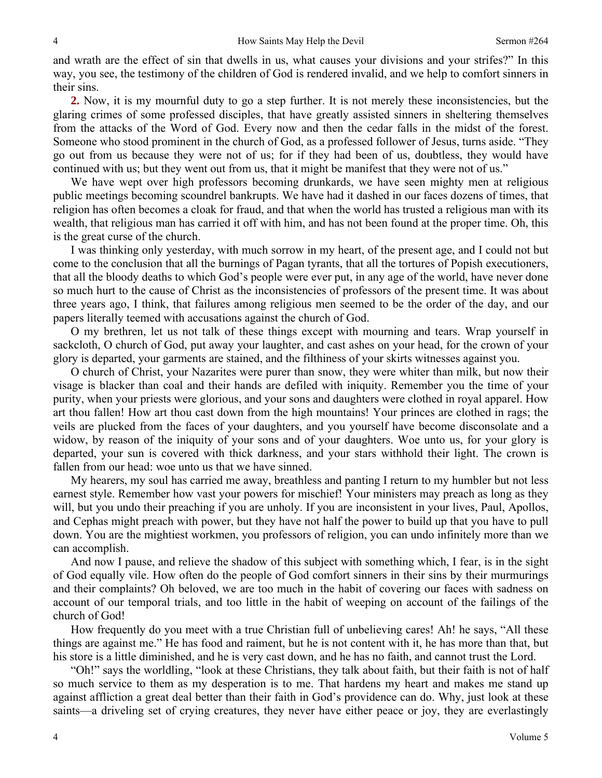and wrath are the effect of sin that dwells in us, what causes your divisions and your strifes?" In this way, you see, the testimony of the children of God is rendered invalid, and we help to comfort sinners in their sins.

**2.** Now, it is my mournful duty to go a step further. It is not merely these inconsistencies, but the glaring crimes of some professed disciples, that have greatly assisted sinners in sheltering themselves from the attacks of the Word of God. Every now and then the cedar falls in the midst of the forest. Someone who stood prominent in the church of God, as a professed follower of Jesus, turns aside. "They go out from us because they were not of us; for if they had been of us, doubtless, they would have continued with us; but they went out from us, that it might be manifest that they were not of us."

We have wept over high professors becoming drunkards, we have seen mighty men at religious public meetings becoming scoundrel bankrupts. We have had it dashed in our faces dozens of times, that religion has often becomes a cloak for fraud, and that when the world has trusted a religious man with its wealth, that religious man has carried it off with him, and has not been found at the proper time. Oh, this is the great curse of the church.

I was thinking only yesterday, with much sorrow in my heart, of the present age, and I could not but come to the conclusion that all the burnings of Pagan tyrants, that all the tortures of Popish executioners, that all the bloody deaths to which God's people were ever put, in any age of the world, have never done so much hurt to the cause of Christ as the inconsistencies of professors of the present time. It was about three years ago, I think, that failures among religious men seemed to be the order of the day, and our papers literally teemed with accusations against the church of God.

O my brethren, let us not talk of these things except with mourning and tears. Wrap yourself in sackcloth, O church of God, put away your laughter, and cast ashes on your head, for the crown of your glory is departed, your garments are stained, and the filthiness of your skirts witnesses against you.

O church of Christ, your Nazarites were purer than snow, they were whiter than milk, but now their visage is blacker than coal and their hands are defiled with iniquity. Remember you the time of your purity, when your priests were glorious, and your sons and daughters were clothed in royal apparel. How art thou fallen! How art thou cast down from the high mountains! Your princes are clothed in rags; the veils are plucked from the faces of your daughters, and you yourself have become disconsolate and a widow, by reason of the iniquity of your sons and of your daughters. Woe unto us, for your glory is departed, your sun is covered with thick darkness, and your stars withhold their light. The crown is fallen from our head: woe unto us that we have sinned.

My hearers, my soul has carried me away, breathless and panting I return to my humbler but not less earnest style. Remember how vast your powers for mischief! Your ministers may preach as long as they will, but you undo their preaching if you are unholy. If you are inconsistent in your lives, Paul, Apollos, and Cephas might preach with power, but they have not half the power to build up that you have to pull down. You are the mightiest workmen, you professors of religion, you can undo infinitely more than we can accomplish.

And now I pause, and relieve the shadow of this subject with something which, I fear, is in the sight of God equally vile. How often do the people of God comfort sinners in their sins by their murmurings and their complaints? Oh beloved, we are too much in the habit of covering our faces with sadness on account of our temporal trials, and too little in the habit of weeping on account of the failings of the church of God!

How frequently do you meet with a true Christian full of unbelieving cares! Ah! he says, "All these things are against me." He has food and raiment, but he is not content with it, he has more than that, but his store is a little diminished, and he is very cast down, and he has no faith, and cannot trust the Lord.

"Oh!" says the worldling, "look at these Christians, they talk about faith, but their faith is not of half so much service to them as my desperation is to me. That hardens my heart and makes me stand up against affliction a great deal better than their faith in God's providence can do. Why, just look at these saints—a driveling set of crying creatures, they never have either peace or joy, they are everlastingly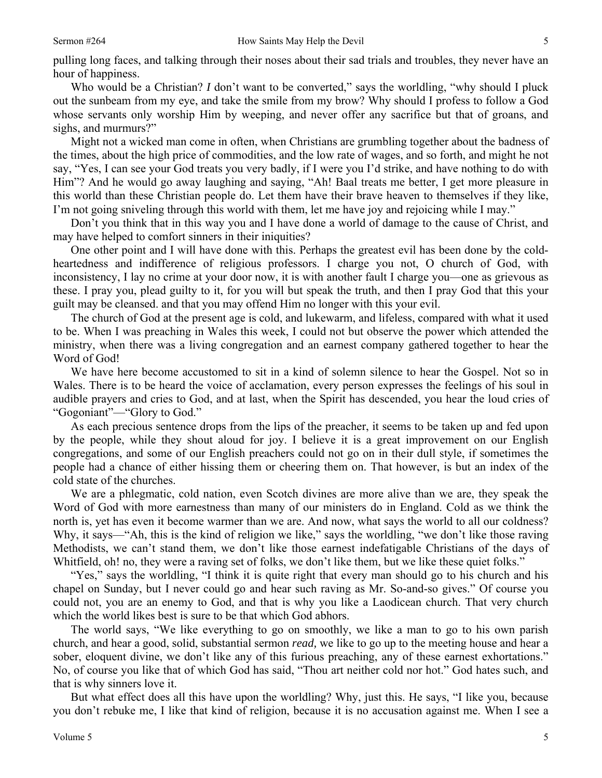5

pulling long faces, and talking through their noses about their sad trials and troubles, they never have an hour of happiness.

Who would be a Christian? *I* don't want to be converted," says the worldling, "why should I pluck out the sunbeam from my eye, and take the smile from my brow? Why should I profess to follow a God whose servants only worship Him by weeping, and never offer any sacrifice but that of groans, and sighs, and murmurs?"

Might not a wicked man come in often, when Christians are grumbling together about the badness of the times, about the high price of commodities, and the low rate of wages, and so forth, and might he not say, "Yes, I can see your God treats you very badly, if I were you I'd strike, and have nothing to do with Him"? And he would go away laughing and saying, "Ah! Baal treats me better, I get more pleasure in this world than these Christian people do. Let them have their brave heaven to themselves if they like, I'm not going sniveling through this world with them, let me have joy and rejoicing while I may."

Don't you think that in this way you and I have done a world of damage to the cause of Christ, and may have helped to comfort sinners in their iniquities?

One other point and I will have done with this. Perhaps the greatest evil has been done by the coldheartedness and indifference of religious professors. I charge you not, O church of God, with inconsistency, I lay no crime at your door now, it is with another fault I charge you—one as grievous as these. I pray you, plead guilty to it, for you will but speak the truth, and then I pray God that this your guilt may be cleansed. and that you may offend Him no longer with this your evil.

The church of God at the present age is cold, and lukewarm, and lifeless, compared with what it used to be. When I was preaching in Wales this week, I could not but observe the power which attended the ministry, when there was a living congregation and an earnest company gathered together to hear the Word of God!

We have here become accustomed to sit in a kind of solemn silence to hear the Gospel. Not so in Wales. There is to be heard the voice of acclamation, every person expresses the feelings of his soul in audible prayers and cries to God, and at last, when the Spirit has descended, you hear the loud cries of "Gogoniant"—"Glory to God."

As each precious sentence drops from the lips of the preacher, it seems to be taken up and fed upon by the people, while they shout aloud for joy. I believe it is a great improvement on our English congregations, and some of our English preachers could not go on in their dull style, if sometimes the people had a chance of either hissing them or cheering them on. That however, is but an index of the cold state of the churches.

We are a phlegmatic, cold nation, even Scotch divines are more alive than we are, they speak the Word of God with more earnestness than many of our ministers do in England. Cold as we think the north is, yet has even it become warmer than we are. And now, what says the world to all our coldness? Why, it says—"Ah, this is the kind of religion we like," says the worldling, "we don't like those raving Methodists, we can't stand them, we don't like those earnest indefatigable Christians of the days of Whitfield, oh! no, they were a raving set of folks, we don't like them, but we like these quiet folks."

"Yes," says the worldling, "I think it is quite right that every man should go to his church and his chapel on Sunday, but I never could go and hear such raving as Mr. So-and-so gives." Of course you could not, you are an enemy to God, and that is why you like a Laodicean church. That very church which the world likes best is sure to be that which God abhors.

The world says, "We like everything to go on smoothly, we like a man to go to his own parish church, and hear a good, solid, substantial sermon *read,* we like to go up to the meeting house and hear a sober, eloquent divine, we don't like any of this furious preaching, any of these earnest exhortations." No, of course you like that of which God has said, "Thou art neither cold nor hot." God hates such, and that is why sinners love it.

But what effect does all this have upon the worldling? Why, just this. He says, "I like you, because you don't rebuke me, I like that kind of religion, because it is no accusation against me. When I see a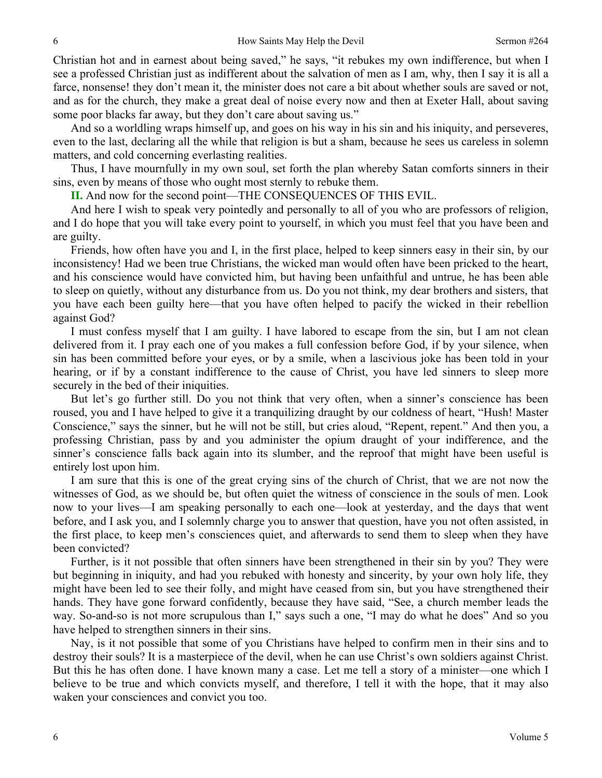Christian hot and in earnest about being saved," he says, "it rebukes my own indifference, but when I see a professed Christian just as indifferent about the salvation of men as I am, why, then I say it is all a farce, nonsense! they don't mean it, the minister does not care a bit about whether souls are saved or not, and as for the church, they make a great deal of noise every now and then at Exeter Hall, about saving some poor blacks far away, but they don't care about saving us."

And so a worldling wraps himself up, and goes on his way in his sin and his iniquity, and perseveres, even to the last, declaring all the while that religion is but a sham, because he sees us careless in solemn matters, and cold concerning everlasting realities.

Thus, I have mournfully in my own soul, set forth the plan whereby Satan comforts sinners in their sins, even by means of those who ought most sternly to rebuke them.

**II.** And now for the second point—THE CONSEQUENCES OF THIS EVIL.

And here I wish to speak very pointedly and personally to all of you who are professors of religion, and I do hope that you will take every point to yourself, in which you must feel that you have been and are guilty.

Friends, how often have you and I, in the first place, helped to keep sinners easy in their sin, by our inconsistency! Had we been true Christians, the wicked man would often have been pricked to the heart, and his conscience would have convicted him, but having been unfaithful and untrue, he has been able to sleep on quietly, without any disturbance from us. Do you not think, my dear brothers and sisters, that you have each been guilty here—that you have often helped to pacify the wicked in their rebellion against God?

I must confess myself that I am guilty. I have labored to escape from the sin, but I am not clean delivered from it. I pray each one of you makes a full confession before God, if by your silence, when sin has been committed before your eyes, or by a smile, when a lascivious joke has been told in your hearing, or if by a constant indifference to the cause of Christ, you have led sinners to sleep more securely in the bed of their iniquities.

But let's go further still. Do you not think that very often, when a sinner's conscience has been roused, you and I have helped to give it a tranquilizing draught by our coldness of heart, "Hush! Master Conscience," says the sinner, but he will not be still, but cries aloud, "Repent, repent." And then you, a professing Christian, pass by and you administer the opium draught of your indifference, and the sinner's conscience falls back again into its slumber, and the reproof that might have been useful is entirely lost upon him.

I am sure that this is one of the great crying sins of the church of Christ, that we are not now the witnesses of God, as we should be, but often quiet the witness of conscience in the souls of men. Look now to your lives—I am speaking personally to each one—look at yesterday, and the days that went before, and I ask you, and I solemnly charge you to answer that question, have you not often assisted, in the first place, to keep men's consciences quiet, and afterwards to send them to sleep when they have been convicted?

Further, is it not possible that often sinners have been strengthened in their sin by you? They were but beginning in iniquity, and had you rebuked with honesty and sincerity, by your own holy life, they might have been led to see their folly, and might have ceased from sin, but you have strengthened their hands. They have gone forward confidently, because they have said, "See, a church member leads the way. So-and-so is not more scrupulous than I," says such a one, "I may do what he does" And so you have helped to strengthen sinners in their sins.

Nay, is it not possible that some of you Christians have helped to confirm men in their sins and to destroy their souls? It is a masterpiece of the devil, when he can use Christ's own soldiers against Christ. But this he has often done. I have known many a case. Let me tell a story of a minister—one which I believe to be true and which convicts myself, and therefore, I tell it with the hope, that it may also waken your consciences and convict you too.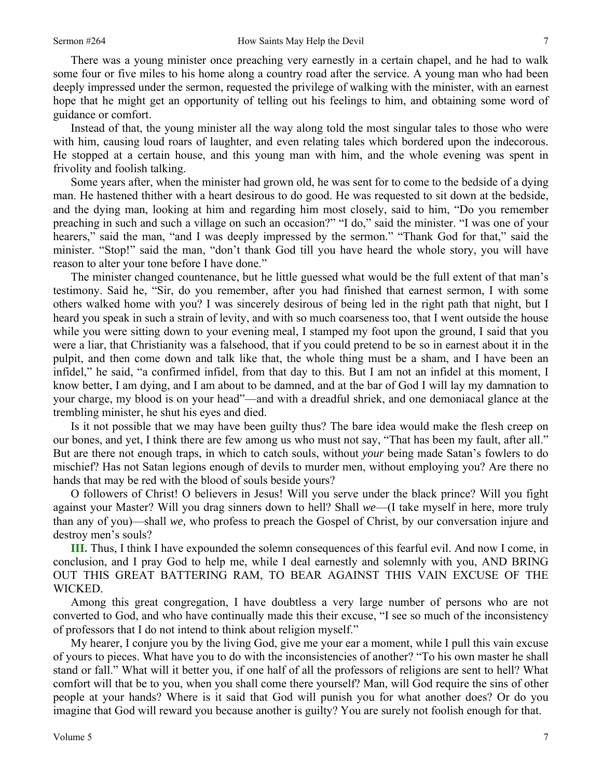There was a young minister once preaching very earnestly in a certain chapel, and he had to walk some four or five miles to his home along a country road after the service. A young man who had been deeply impressed under the sermon, requested the privilege of walking with the minister, with an earnest hope that he might get an opportunity of telling out his feelings to him, and obtaining some word of guidance or comfort.

Instead of that, the young minister all the way along told the most singular tales to those who were with him, causing loud roars of laughter, and even relating tales which bordered upon the indecorous. He stopped at a certain house, and this young man with him, and the whole evening was spent in frivolity and foolish talking.

Some years after, when the minister had grown old, he was sent for to come to the bedside of a dying man. He hastened thither with a heart desirous to do good. He was requested to sit down at the bedside, and the dying man, looking at him and regarding him most closely, said to him, "Do you remember preaching in such and such a village on such an occasion?" "I do," said the minister. "I was one of your hearers," said the man, "and I was deeply impressed by the sermon." "Thank God for that," said the minister. "Stop!" said the man, "don't thank God till you have heard the whole story, you will have reason to alter your tone before I have done."

The minister changed countenance, but he little guessed what would be the full extent of that man's testimony. Said he, "Sir, do you remember, after you had finished that earnest sermon, I with some others walked home with you? I was sincerely desirous of being led in the right path that night, but I heard you speak in such a strain of levity, and with so much coarseness too, that I went outside the house while you were sitting down to your evening meal, I stamped my foot upon the ground, I said that you were a liar, that Christianity was a falsehood, that if you could pretend to be so in earnest about it in the pulpit, and then come down and talk like that, the whole thing must be a sham, and I have been an infidel," he said, "a confirmed infidel, from that day to this. But I am not an infidel at this moment, I know better, I am dying, and I am about to be damned, and at the bar of God I will lay my damnation to your charge, my blood is on your head"—and with a dreadful shriek, and one demoniacal glance at the trembling minister, he shut his eyes and died.

Is it not possible that we may have been guilty thus? The bare idea would make the flesh creep on our bones, and yet, I think there are few among us who must not say, "That has been my fault, after all." But are there not enough traps, in which to catch souls, without *your* being made Satan's fowlers to do mischief? Has not Satan legions enough of devils to murder men, without employing you? Are there no hands that may be red with the blood of souls beside yours?

O followers of Christ! O believers in Jesus! Will you serve under the black prince? Will you fight against your Master? Will you drag sinners down to hell? Shall *we*—(I take myself in here, more truly than any of you)—shall *we,* who profess to preach the Gospel of Christ, by our conversation injure and destroy men's souls?

**III.** Thus, I think I have expounded the solemn consequences of this fearful evil. And now I come, in conclusion, and I pray God to help me, while I deal earnestly and solemnly with you, AND BRING OUT THIS GREAT BATTERING RAM, TO BEAR AGAINST THIS VAIN EXCUSE OF THE WICKED.

Among this great congregation, I have doubtless a very large number of persons who are not converted to God, and who have continually made this their excuse, "I see so much of the inconsistency of professors that I do not intend to think about religion myself."

My hearer, I conjure you by the living God, give me your ear a moment, while I pull this vain excuse of yours to pieces. What have you to do with the inconsistencies of another? "To his own master he shall stand or fall." What will it better you, if one half of all the professors of religions are sent to hell? What comfort will that be to you, when you shall come there yourself? Man, will God require the sins of other people at your hands? Where is it said that God will punish you for what another does? Or do you imagine that God will reward you because another is guilty? You are surely not foolish enough for that.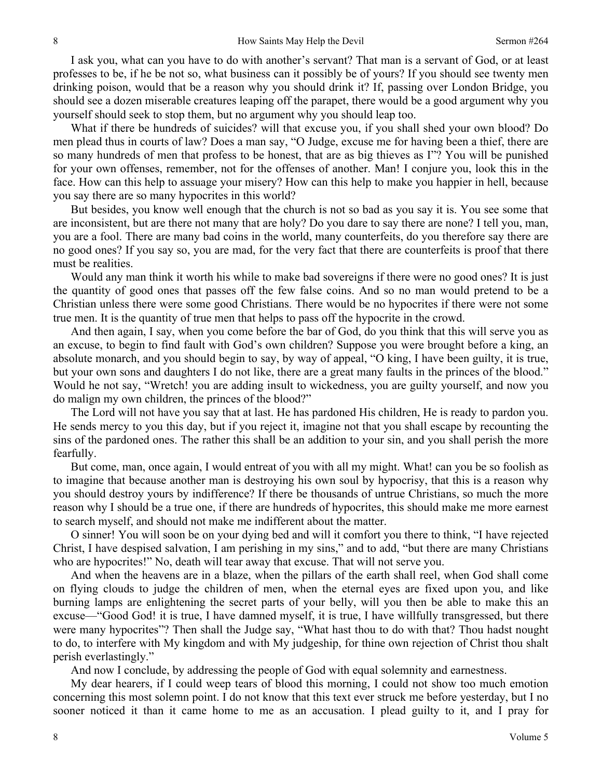I ask you, what can you have to do with another's servant? That man is a servant of God, or at least professes to be, if he be not so, what business can it possibly be of yours? If you should see twenty men drinking poison, would that be a reason why you should drink it? If, passing over London Bridge, you should see a dozen miserable creatures leaping off the parapet, there would be a good argument why you yourself should seek to stop them, but no argument why you should leap too.

What if there be hundreds of suicides? will that excuse you, if you shall shed your own blood? Do men plead thus in courts of law? Does a man say, "O Judge, excuse me for having been a thief, there are so many hundreds of men that profess to be honest, that are as big thieves as I"? You will be punished for your own offenses, remember, not for the offenses of another. Man! I conjure you, look this in the face. How can this help to assuage your misery? How can this help to make you happier in hell, because you say there are so many hypocrites in this world?

But besides, you know well enough that the church is not so bad as you say it is. You see some that are inconsistent, but are there not many that are holy? Do you dare to say there are none? I tell you, man, you are a fool. There are many bad coins in the world, many counterfeits, do you therefore say there are no good ones? If you say so, you are mad, for the very fact that there are counterfeits is proof that there must be realities.

Would any man think it worth his while to make bad sovereigns if there were no good ones? It is just the quantity of good ones that passes off the few false coins. And so no man would pretend to be a Christian unless there were some good Christians. There would be no hypocrites if there were not some true men. It is the quantity of true men that helps to pass off the hypocrite in the crowd.

And then again, I say, when you come before the bar of God, do you think that this will serve you as an excuse, to begin to find fault with God's own children? Suppose you were brought before a king, an absolute monarch, and you should begin to say, by way of appeal, "O king, I have been guilty, it is true, but your own sons and daughters I do not like, there are a great many faults in the princes of the blood." Would he not say, "Wretch! you are adding insult to wickedness, you are guilty yourself, and now you do malign my own children, the princes of the blood?"

The Lord will not have you say that at last. He has pardoned His children, He is ready to pardon you. He sends mercy to you this day, but if you reject it, imagine not that you shall escape by recounting the sins of the pardoned ones. The rather this shall be an addition to your sin, and you shall perish the more fearfully.

But come, man, once again, I would entreat of you with all my might. What! can you be so foolish as to imagine that because another man is destroying his own soul by hypocrisy, that this is a reason why you should destroy yours by indifference? If there be thousands of untrue Christians, so much the more reason why I should be a true one, if there are hundreds of hypocrites, this should make me more earnest to search myself, and should not make me indifferent about the matter.

O sinner! You will soon be on your dying bed and will it comfort you there to think, "I have rejected Christ, I have despised salvation, I am perishing in my sins," and to add, "but there are many Christians who are hypocrites!" No, death will tear away that excuse. That will not serve you.

And when the heavens are in a blaze, when the pillars of the earth shall reel, when God shall come on flying clouds to judge the children of men, when the eternal eyes are fixed upon you, and like burning lamps are enlightening the secret parts of your belly, will you then be able to make this an excuse—"Good God! it is true, I have damned myself, it is true, I have willfully transgressed, but there were many hypocrites"? Then shall the Judge say, "What hast thou to do with that? Thou hadst nought to do, to interfere with My kingdom and with My judgeship, for thine own rejection of Christ thou shalt perish everlastingly."

And now I conclude, by addressing the people of God with equal solemnity and earnestness.

My dear hearers, if I could weep tears of blood this morning, I could not show too much emotion concerning this most solemn point. I do not know that this text ever struck me before yesterday, but I no sooner noticed it than it came home to me as an accusation. I plead guilty to it, and I pray for

8

8